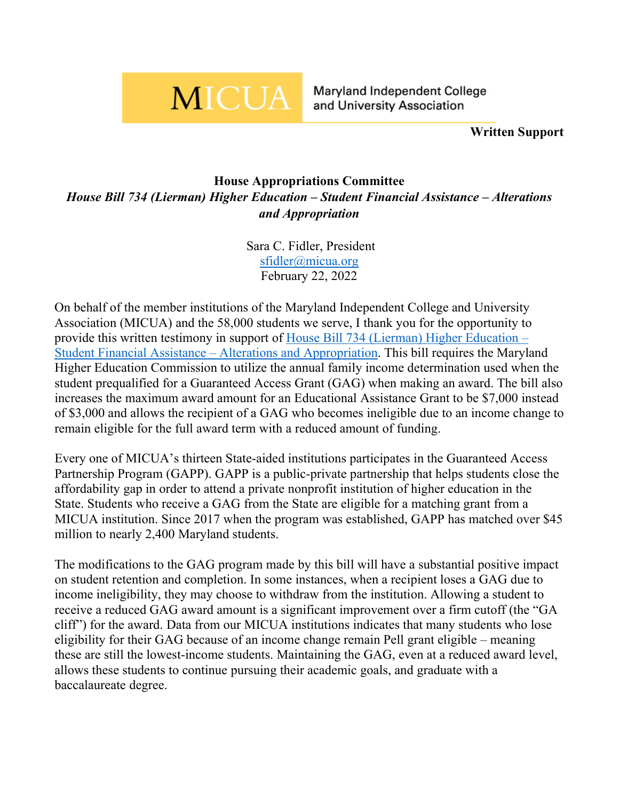## **MICUA**

Maryland Independent College and University Association

**Written Support**

## **House Appropriations Committee** *House Bill 734 (Lierman) Higher Education – Student Financial Assistance – Alterations and Appropriation*

Sara C. Fidler, President [sfidler@micua.org](mailto:sfidler@micua.org) February 22, 2022

On behalf of the member institutions of the Maryland Independent College and University Association (MICUA) and the 58,000 students we serve, I thank you for the opportunity to provide this written testimony in support of House Bill 734 (Lierman) [Higher Education –](https://mgaleg.maryland.gov/mgawebsite/Legislation/Details/hb0734) [Student Financial Assistance –](https://mgaleg.maryland.gov/mgawebsite/Legislation/Details/hb0734) Alterations and Appropriation. This bill requires the Maryland Higher Education Commission to utilize the annual family income determination used when the student prequalified for a Guaranteed Access Grant (GAG) when making an award. The bill also increases the maximum award amount for an Educational Assistance Grant to be \$7,000 instead of \$3,000 and allows the recipient of a GAG who becomes ineligible due to an income change to remain eligible for the full award term with a reduced amount of funding.

Every one of MICUA's thirteen State-aided institutions participates in the Guaranteed Access Partnership Program (GAPP). GAPP is a public-private partnership that helps students close the affordability gap in order to attend a private nonprofit institution of higher education in the State. Students who receive a GAG from the State are eligible for a matching grant from a MICUA institution. Since 2017 when the program was established, GAPP has matched over \$45 million to nearly 2,400 Maryland students.

The modifications to the GAG program made by this bill will have a substantial positive impact on student retention and completion. In some instances, when a recipient loses a GAG due to income ineligibility, they may choose to withdraw from the institution. Allowing a student to receive a reduced GAG award amount is a significant improvement over a firm cutoff (the "GA cliff") for the award. Data from our MICUA institutions indicates that many students who lose eligibility for their GAG because of an income change remain Pell grant eligible – meaning these are still the lowest-income students. Maintaining the GAG, even at a reduced award level, allows these students to continue pursuing their academic goals, and graduate with a baccalaureate degree.